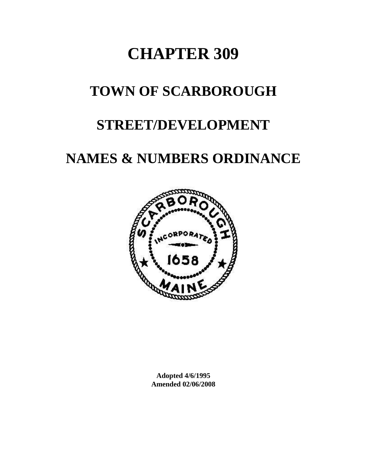# **CHAPTER 309**

# **TOWN OF SCARBOROUGH**

# **STREET/DEVELOPMENT**

# **NAMES & NUMBERS ORDINANCE**



**Adopted 4/6/1995 Amended 02/06/2008**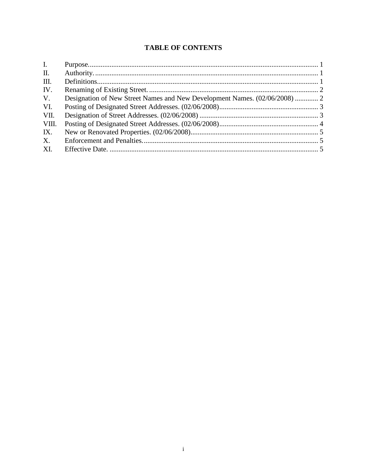# **TABLE OF CONTENTS**

| $\mathbf{I}$ .  |                                                                            |  |
|-----------------|----------------------------------------------------------------------------|--|
| $\mathbf{II}$ . |                                                                            |  |
| III.            |                                                                            |  |
| IV.             |                                                                            |  |
| $V_{\cdot}$     | Designation of New Street Names and New Development Names. (02/06/2008)  2 |  |
| VI.             |                                                                            |  |
| VII.            |                                                                            |  |
| VIII.           |                                                                            |  |
| IX.             |                                                                            |  |
| X.              |                                                                            |  |
| XI.             |                                                                            |  |
|                 |                                                                            |  |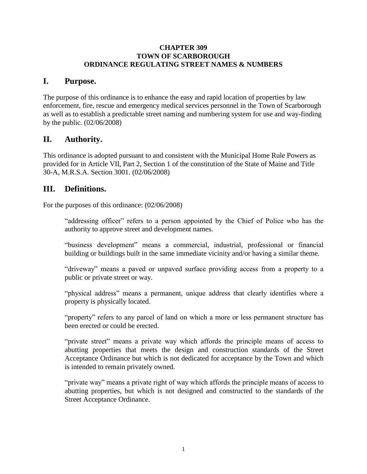#### **CHAPTER 309 TOWN OF SCARBOROUGH ORDINANCE REGULATING STREET NAMES & NUMBERS**

### <span id="page-2-0"></span>**I. Purpose.**

The purpose of this ordinance is to enhance the easy and rapid location of properties by law enforcement, fire, rescue and emergency medical services personnel in the Town of Scarborough as well as to establish a predictable street naming and numbering system for use and way-finding by the public. (02/06/2008)

## <span id="page-2-1"></span>**II. Authority.**

This ordinance is adopted pursuant to and consistent with the Municipal Home Rule Powers as provided for in Article VII, Part 2, Section 1 of the constitution of the State of Maine and Title 30-A, M.R.S.A. Section 3001. (02/06/2008)

## <span id="page-2-2"></span>**III. Definitions.**

For the purposes of this ordinance: (02/06/2008)

"addressing officer" refers to a person appointed by the Chief of Police who has the authority to approve street and development names.

"business development" means a commercial, industrial, professional or financial building or buildings built in the same immediate vicinity and/or having a similar theme.

"driveway" means a paved or unpaved surface providing access from a property to a public or private street or way.

"physical address" means a permanent, unique address that clearly identifies where a property is physically located.

"property" refers to any parcel of land on which a more or less permanent structure has been erected or could be erected.

"private street" means a private way which affords the principle means of access to abutting properties that meets the design and construction standards of the Street Acceptance Ordinance but which is not dedicated for acceptance by the Town and which is intended to remain privately owned.

"private way" means a private right of way which affords the principle means of access to abutting properties, but which is not designed and constructed to the standards of the Street Acceptance Ordinance.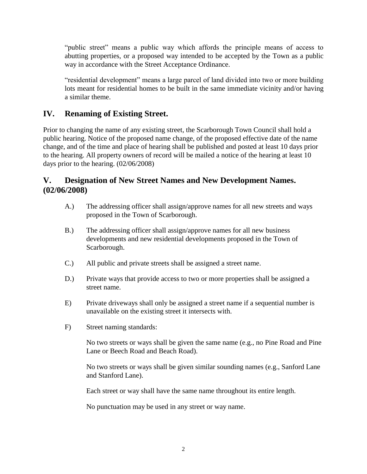"public street" means a public way which affords the principle means of access to abutting properties, or a proposed way intended to be accepted by the Town as a public way in accordance with the Street Acceptance Ordinance.

"residential development" means a large parcel of land divided into two or more building lots meant for residential homes to be built in the same immediate vicinity and/or having a similar theme.

# <span id="page-3-0"></span>**IV. Renaming of Existing Street.**

Prior to changing the name of any existing street, the Scarborough Town Council shall hold a public hearing. Notice of the proposed name change, of the proposed effective date of the name change, and of the time and place of hearing shall be published and posted at least 10 days prior to the hearing. All property owners of record will be mailed a notice of the hearing at least 10 days prior to the hearing. (02/06/2008)

# <span id="page-3-1"></span>**V. Designation of New Street Names and New Development Names. (02/06/2008)**

- A.) The addressing officer shall assign/approve names for all new streets and ways proposed in the Town of Scarborough.
- B.) The addressing officer shall assign/approve names for all new business developments and new residential developments proposed in the Town of Scarborough.
- C.) All public and private streets shall be assigned a street name.
- D.) Private ways that provide access to two or more properties shall be assigned a street name.
- E) Private driveways shall only be assigned a street name if a sequential number is unavailable on the existing street it intersects with.
- F) Street naming standards:

No two streets or ways shall be given the same name (e.g., no Pine Road and Pine Lane or Beech Road and Beach Road).

No two streets or ways shall be given similar sounding names (e.g., Sanford Lane and Stanford Lane).

Each street or way shall have the same name throughout its entire length.

No punctuation may be used in any street or way name.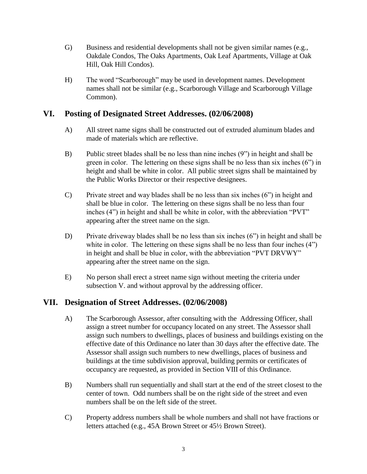- G) Business and residential developments shall not be given similar names (e.g., Oakdale Condos, The Oaks Apartments, Oak Leaf Apartments, Village at Oak Hill, Oak Hill Condos).
- H) The word "Scarborough" may be used in development names. Development names shall not be similar (e.g., Scarborough Village and Scarborough Village Common).

### <span id="page-4-0"></span>**VI. Posting of Designated Street Addresses. (02/06/2008)**

- A) All street name signs shall be constructed out of extruded aluminum blades and made of materials which are reflective.
- B) Public street blades shall be no less than nine inches (9") in height and shall be green in color. The lettering on these signs shall be no less than six inches (6") in height and shall be white in color. All public street signs shall be maintained by the Public Works Director or their respective designees.
- C) Private street and way blades shall be no less than six inches (6") in height and shall be blue in color. The lettering on these signs shall be no less than four inches (4") in height and shall be white in color, with the abbreviation "PVT" appearing after the street name on the sign.
- D) Private driveway blades shall be no less than six inches (6") in height and shall be white in color. The lettering on these signs shall be no less than four inches  $(4)$ in height and shall be blue in color, with the abbreviation "PVT DRVWY" appearing after the street name on the sign.
- E) No person shall erect a street name sign without meeting the criteria under subsection V. and without approval by the addressing officer.

# <span id="page-4-1"></span>**VII. Designation of Street Addresses. (02/06/2008)**

- A) The Scarborough Assessor, after consulting with the Addressing Officer, shall assign a street number for occupancy located on any street. The Assessor shall assign such numbers to dwellings, places of business and buildings existing on the effective date of this Ordinance no later than 30 days after the effective date. The Assessor shall assign such numbers to new dwellings, places of business and buildings at the time subdivision approval, building permits or certificates of occupancy are requested, as provided in Section VIII of this Ordinance.
- B) Numbers shall run sequentially and shall start at the end of the street closest to the center of town. Odd numbers shall be on the right side of the street and even numbers shall be on the left side of the street.
- C) Property address numbers shall be whole numbers and shall not have fractions or letters attached (e.g., 45A Brown Street or 45½ Brown Street).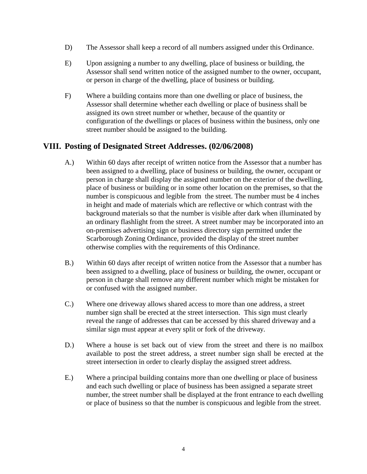- D) The Assessor shall keep a record of all numbers assigned under this Ordinance.
- E) Upon assigning a number to any dwelling, place of business or building, the Assessor shall send written notice of the assigned number to the owner, occupant, or person in charge of the dwelling, place of business or building.
- F) Where a building contains more than one dwelling or place of business, the Assessor shall determine whether each dwelling or place of business shall be assigned its own street number or whether, because of the quantity or configuration of the dwellings or places of business within the business, only one street number should be assigned to the building.

## <span id="page-5-0"></span>**VIII. Posting of Designated Street Addresses. (02/06/2008)**

- A.) Within 60 days after receipt of written notice from the Assessor that a number has been assigned to a dwelling, place of business or building, the owner, occupant or person in charge shall display the assigned number on the exterior of the dwelling, place of business or building or in some other location on the premises, so that the number is conspicuous and legible from the street. The number must be 4 inches in height and made of materials which are reflective or which contrast with the background materials so that the number is visible after dark when illuminated by an ordinary flashlight from the street. A street number may be incorporated into an on-premises advertising sign or business directory sign permitted under the Scarborough Zoning Ordinance, provided the display of the street number otherwise complies with the requirements of this Ordinance.
- B.) Within 60 days after receipt of written notice from the Assessor that a number has been assigned to a dwelling, place of business or building, the owner, occupant or person in charge shall remove any different number which might be mistaken for or confused with the assigned number.
- C.) Where one driveway allows shared access to more than one address, a street number sign shall be erected at the street intersection. This sign must clearly reveal the range of addresses that can be accessed by this shared driveway and a similar sign must appear at every split or fork of the driveway.
- D.) Where a house is set back out of view from the street and there is no mailbox available to post the street address, a street number sign shall be erected at the street intersection in order to clearly display the assigned street address.
- E.) Where a principal building contains more than one dwelling or place of business and each such dwelling or place of business has been assigned a separate street number, the street number shall be displayed at the front entrance to each dwelling or place of business so that the number is conspicuous and legible from the street.